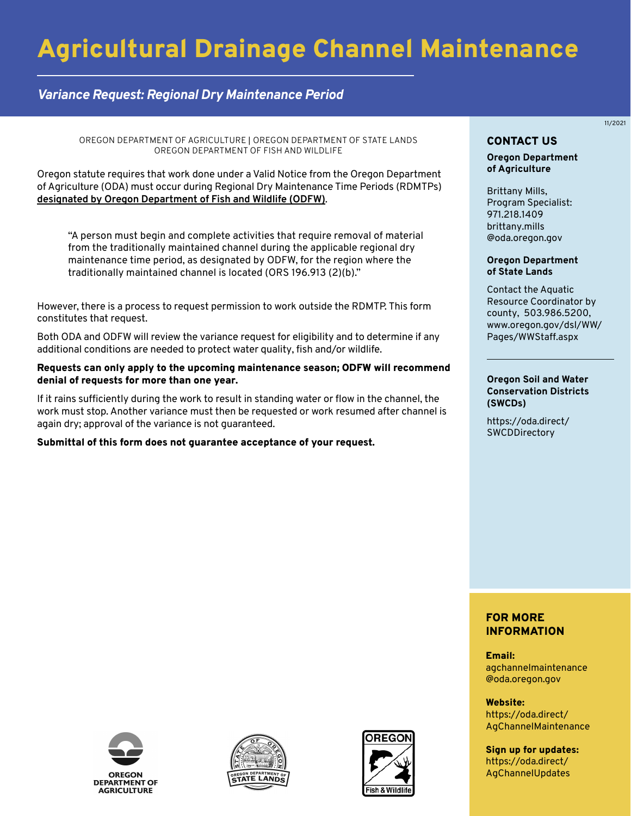# Agricultural Drainage Channel Maintenance

## *Variance Request: Regional Dry Maintenance Period*

OREGON DEPARTMENT OF AGRICULTURE | OREGON DEPARTMENT OF STATE LANDS OREGON DEPARTMENT OF FISH AND WILDLIFE

Oregon statute requires that work done under a Valid Notice from the Oregon Department of Agriculture (ODA) must occur during Regional Dry Maintenance Time Periods (RDMTPs) **designated by Oregon Department of Fish and Wildlife (ODFW)**.

"A person must begin and complete activities that require removal of material from the traditionally maintained channel during the applicable regional dry maintenance time period, as designated by ODFW, for the region where the traditionally maintained channel is located (ORS 196.913 (2)(b)."

However, there is a process to request permission to work outside the RDMTP. This form constitutes that request.

Both ODA and ODFW will review the variance request for eligibility and to determine if any additional conditions are needed to protect water quality, fish and/or wildlife.

#### Requests can only apply to the upcoming maintenance season; ODFW will recommend denial of requests for more than one year.

If it rains sufficiently during the work to result in standing water or flow in the channel, the work must stop. Another variance must then be requested or work resumed after channel is again dry; approval of the variance is not guaranteed.

#### Submittal of this form does not guarantee acceptance of your request.

## CONTACT US

11/2021

#### **Oregon Department of Agriculture**

Brittany Mills, Program Specialist: 971.218.1409 brittany.mills [@oda.oregon.gov](mailto:brittany.mills@oda.oregon.gov)

#### **Oregon Department of State Lands**

Contact the Aquatic Resource Coordinator by county, 503.986.5200, [www.oregon.gov/dsl/WW/](www.oregon.gov/dsl/WW/Pages/WWStaff.aspx) Pages/WWStaff.aspx

#### **Oregon Soil and Water Conservation Districts (SWCDs)**

[https://oda.direct/](https://oda.direct/SWCDDirectory) **SWCDDirectory** 

### FOR MORE INFORMATION

Email: [agchannelmaintenance](mailto:agchannelmaintenance@oda.oregon.gov)  @oda.oregon.gov

Website: https://oda.direct/ [AgChannelMaintenance](https://oda.direct/AgChannelMaintenance)

Sign up for updates: [https://oda.direct/](https://oda.direct/AgChannelUpdates)  AgChannelUpdates





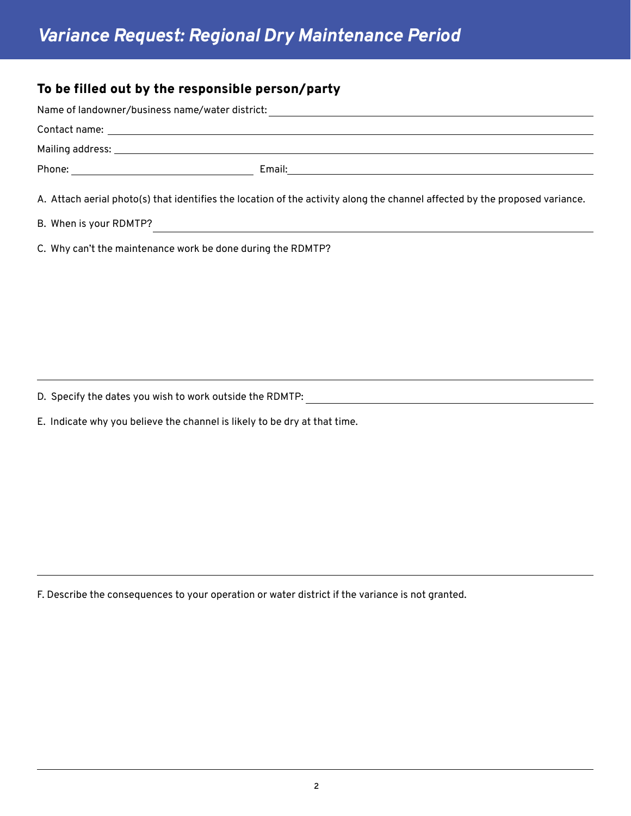## To be filled out by the responsible person/party

| Name of landowner/business name/water district: |                                                                                                                             |
|-------------------------------------------------|-----------------------------------------------------------------------------------------------------------------------------|
|                                                 |                                                                                                                             |
|                                                 |                                                                                                                             |
|                                                 |                                                                                                                             |
|                                                 | A. Attach aerial photo(s) that identifies the location of the activity along the channel affected by the proposed variance. |

B. When is your RDMTP?

C. Why can't the maintenance work be done during the RDMTP?

D. Specify the dates you wish to work outside the RDMTP:

E. Indicate why you believe the channel is likely to be dry at that time.

F. Describe the consequences to your operation or water district if the variance is not granted.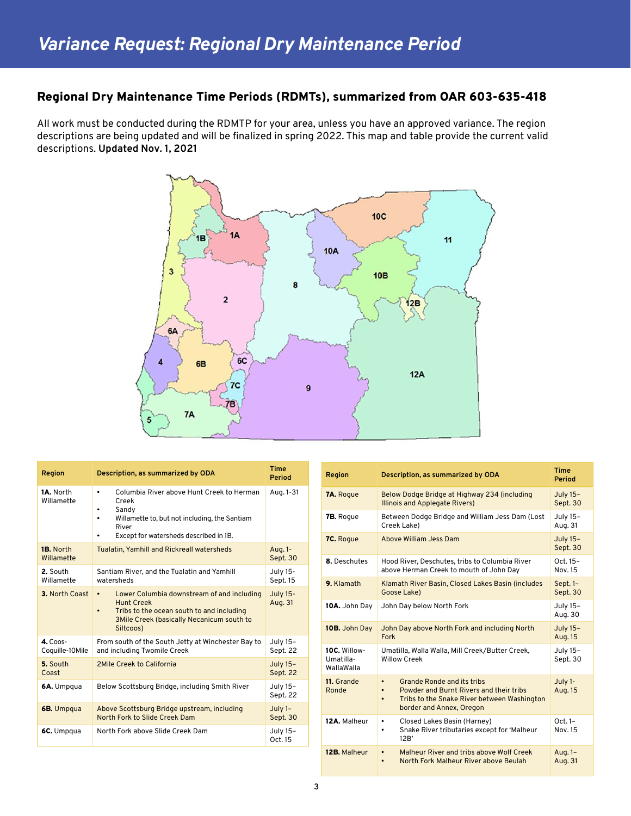## Regional Dry Maintenance Time Periods (RDMTs), summarized from OAR 603-635-418

All work must be conducted during the RDMTP for your area, unless you have an approved variance. The region descriptions are being updated and will be finalized in spring 2022. This map and table provide the current valid descriptions. **Updated Nov. 1, 2021**



| Region                                | Description, as summarized by ODA                                                                                                                                                                       | <b>Time</b><br>Period       |
|---------------------------------------|---------------------------------------------------------------------------------------------------------------------------------------------------------------------------------------------------------|-----------------------------|
| 1A. North<br>Willamette               | Columbia River above Hunt Creek to Herman<br>$\bullet$<br>Creek<br>Sandy<br>٠<br>Willamette to, but not including, the Santiam<br>$\bullet$<br>River<br>Except for watersheds described in 1B.<br>٠     | Aug. 1-31                   |
| 1B. North<br>Willamette               | <b>Tualatin, Yamhill and Rickreall watersheds</b>                                                                                                                                                       | Aug. 1-<br>Sept. 30         |
| 2. South<br>Willamette                | Santiam River, and the Tualatin and Yamhill<br>watersheds                                                                                                                                               | July 15-<br>Sept. 15        |
| 3. North Coast                        | Lower Columbia downstream of and including<br>$\bullet$<br><b>Hunt Creek</b><br>Tribs to the ocean south to and including<br>$\bullet$<br><b>3Mile Creek (basically Necanicum south to</b><br>Siltcoos) | <b>July 15-</b><br>Aug. 31  |
| $4. \text{C}$ oos-<br>Coquille-10Mile | From south of the South Jetty at Winchester Bay to<br>and including Twomile Creek                                                                                                                       | July 15-<br>Sept. 22        |
| 5. South<br>Coast                     | 2Mile Creek to California                                                                                                                                                                               | <b>July 15-</b><br>Sept. 22 |
| 6A. Umpqua                            | Below Scottsburg Bridge, including Smith River                                                                                                                                                          | July 15-<br>Sept. 22        |
| 6B. Umpqua                            | Above Scottsburg Bridge upstream, including<br>North Fork to Slide Creek Dam                                                                                                                            | July 1-<br>Sept. 30         |
| 6C. Umpqua                            | North Fork above Slide Creek Dam                                                                                                                                                                        | July 15-<br>Oct. 15         |

| Region                                  | Description, as summarized by ODA                                                                                                                                                              | <b>Time</b><br>Period      |
|-----------------------------------------|------------------------------------------------------------------------------------------------------------------------------------------------------------------------------------------------|----------------------------|
| <b>7A.</b> Roque                        | Below Dodge Bridge at Highway 234 (including<br><b>Illinois and Applegate Rivers)</b>                                                                                                          | July 15-<br>Sept. 30       |
| <b>7B.</b> Rogue                        | Between Dodge Bridge and William Jess Dam (Lost<br>Creek Lake)                                                                                                                                 | July 15-<br>Aug. 31        |
| 7C. Roque                               | Above William Jess Dam                                                                                                                                                                         | July 15-<br>Sept. 30       |
| 8. Deschutes                            | Hood River, Deschutes, tribs to Columbia River<br>above Herman Creek to mouth of John Day                                                                                                      | Oct. 15-<br>Nov. 15        |
| 9. Klamath                              | Klamath River Basin, Closed Lakes Basin (includes<br>Goose Lake)                                                                                                                               | Sept. 1-<br>Sept. 30       |
| 10A. John Day                           | John Day below North Fork                                                                                                                                                                      | July 15-<br>Aug. 30        |
| 10B. John Day                           | John Day above North Fork and including North<br>Fork                                                                                                                                          | <b>July 15-</b><br>Aug. 15 |
| 10C. Willow-<br>Umatilla-<br>WallaWalla | Umatilla, Walla Walla, Mill Creek/Butter Creek,<br><b>Willow Creek</b>                                                                                                                         | July 15-<br>Sept. 30       |
| 11. Grande<br>Ronde                     | <b>Grande Ronde and its tribs</b><br>$\bullet$<br>Powder and Burnt Rivers and their tribs<br>$\bullet$<br>Tribs to the Snake River between Washington<br>$\bullet$<br>border and Annex, Oregon | July 1-<br>Aug. 15         |
| 12A. Malheur                            | Closed Lakes Basin (Harney)<br>$\bullet$<br>Snake River tributaries except for 'Malheur<br>٠<br>12B'                                                                                           | Oct. 1-<br>Nov. 15         |
| 12B. Malheur                            | Malheur River and tribs above Wolf Creek<br>$\bullet$<br>North Fork Malheur River above Beulah<br>$\bullet$                                                                                    | Aug. 1-<br>Aug. 31         |